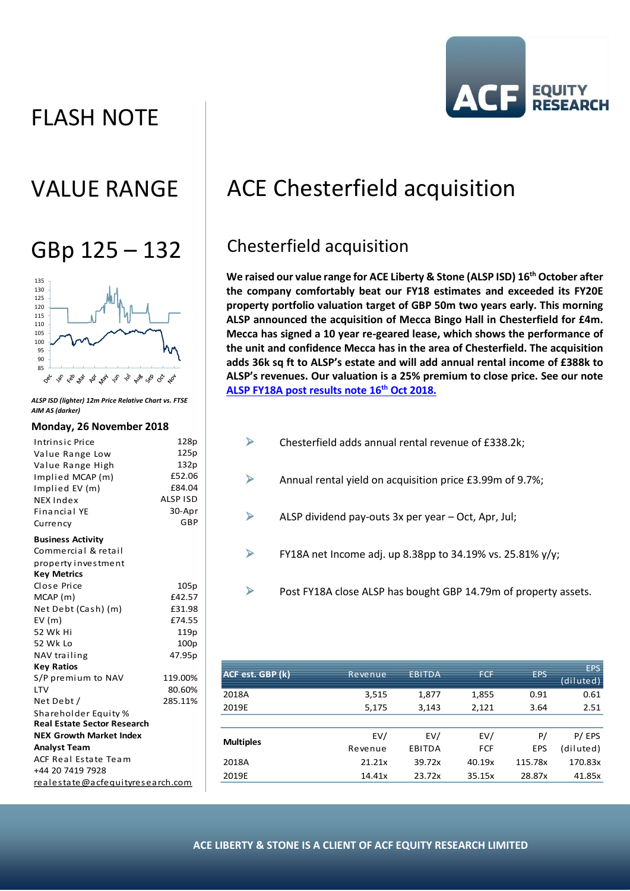# FLASH NOTE





*ALSP ISD (lighter) 12m Price Relative Chart vs. FTSE AIM AS (darker)*

#### **Monday, 26 November 2018**

| Intrinsic Price                    | 128p             |  |  |  |
|------------------------------------|------------------|--|--|--|
| Value Range Low                    | 125p             |  |  |  |
| Value Range High                   | 132p             |  |  |  |
| Implied MCAP (m)                   | £52.06           |  |  |  |
| Implied EV (m)                     | £84.04           |  |  |  |
| NEX Index                          | ALSP ISD         |  |  |  |
| <b>Financial YE</b>                | 30-Apr           |  |  |  |
| Currency                           | GBP              |  |  |  |
| <b>Business Activity</b>           |                  |  |  |  |
| Commercial & retail                |                  |  |  |  |
| property investment                |                  |  |  |  |
| <b>Key Metrics</b>                 |                  |  |  |  |
| Close Price                        | 105p             |  |  |  |
| MCAP(m)                            | £42.57           |  |  |  |
| Net Debt (Cash) (m)                | £31.98           |  |  |  |
| EV(m)                              | £74.55           |  |  |  |
| 52 Wk Hi                           | 119 <sub>p</sub> |  |  |  |
| 52 Wk Lo                           | 100 <sub>p</sub> |  |  |  |
| NAV trailing                       | 47.95p           |  |  |  |
| <b>Key Ratios</b>                  |                  |  |  |  |
| S/P premium to NAV                 | 119.00%          |  |  |  |
| <b>LTV</b>                         | 80.60%           |  |  |  |
| Net Debt /                         | 285.11%          |  |  |  |
| Shareholder Equity %               |                  |  |  |  |
| <b>Real Estate Sector Research</b> |                  |  |  |  |
| <b>NEX Growth Market Index</b>     |                  |  |  |  |
| <b>Analyst Team</b>                |                  |  |  |  |
| <b>ACF Real Estate Team</b>        |                  |  |  |  |
| +44 20 7419 7928                   |                  |  |  |  |
| realestate@acfequityresearch.com   |                  |  |  |  |

# VALUE RANGE | ACE Chesterfield acquisition

# GBp  $125 - 132$  Chesterfield acquisition

**We raised our value range for ACE Liberty & Stone (ALSP ISD) 16th October after the company comfortably beat our FY18 estimates and exceeded its FY20E property portfolio valuation target of GBP 50m two years early. This morning ALSP announced the acquisition of Mecca Bingo Hall in Chesterfield for £4m. Mecca has signed a 10 year re-geared lease, which shows the performance of the unit and confidence Mecca has in the area of Chesterfield. The acquisition adds 36k sq ft to ALSP's estate and will add annual rental income of £388k to ALSP's revenues. Our valuation is a 25% premium to close price. See our note [ALSP FY18A post results note 16](http://acfequityresearch.com/acelibertyandstone/)th Oct 2018.**

- $\triangleright$  Chesterfield adds annual rental revenue of £338.2k;  $\triangleright$  Annual rental yield on acquisition price £3.99m of 9.7%;
	- $\triangleright$  ALSP dividend pay-outs 3x per year Oct, Apr, Jul;
	- $\triangleright$  FY18A net Income adj. up 8.38pp to 34.19% vs. 25.81% y/y;
	- ➢ Post FY18A close ALSP has bought GBP 14.79m of property assets.

| ACF est. GBP (k) | Revenue | <b>EBITDA</b> | <b>FCF</b> | <b>EPS</b> | <b>EPS</b><br>(diluted) |
|------------------|---------|---------------|------------|------------|-------------------------|
| 2018A            | 3,515   | 1,877         | 1,855      | 0.91       | 0.61                    |
| 2019E            | 5,175   | 3,143         | 2,121      | 3.64       | 2.51                    |
|                  |         |               |            |            |                         |
| <b>Multiples</b> | EV/     | EV/           | EV/        | P/         | P/EPS                   |
|                  | Revenue | EBITDA        | <b>FCF</b> | <b>EPS</b> | (diluted)               |
| 2018A            | 21.21x  | 39.72x        | 40.19x     | 115.78x    | 170.83x                 |
| 2019E            | 14.41x  | 23.72x        | 35.15x     | 28.87x     | 41.85x                  |
|                  |         |               |            |            |                         |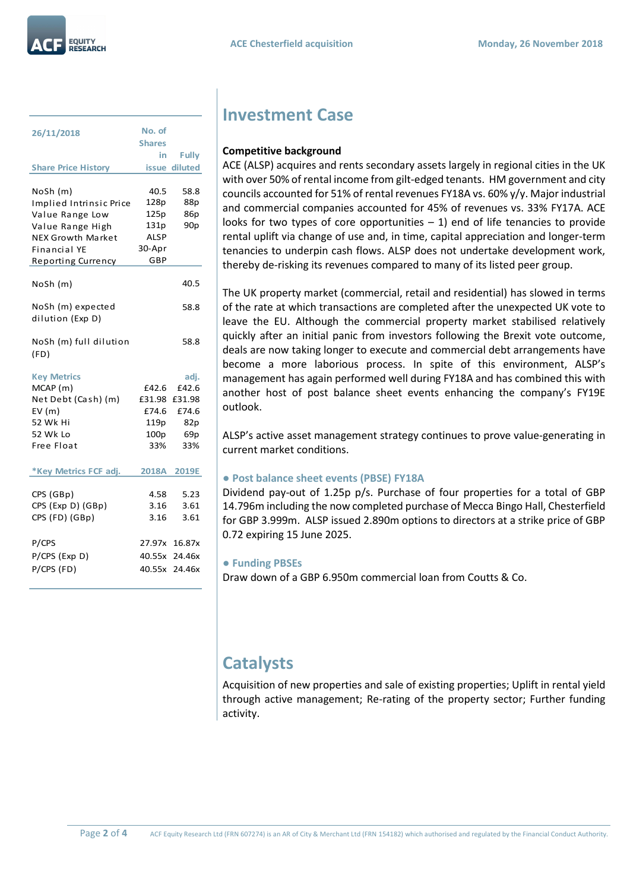

| 26/11/2018                            | No. of<br><b>Shares</b> |                 |
|---------------------------------------|-------------------------|-----------------|
|                                       | in                      | <b>Fully</b>    |
| <b>Share Price History</b>            |                         | issue diluted   |
|                                       |                         |                 |
| NoSh (m)                              | 40.5                    | 58.8            |
| Implied Intrinsic Price               | 128p                    | 88p             |
| Value Range Low                       | 125p                    | 86p             |
| Value Range High                      | 131p                    | 90 <sub>p</sub> |
| <b>NEX Growth Market</b>              | <b>ALSP</b>             |                 |
| Financial YE                          | 30-Apr                  |                 |
| <b>Reporting Currency</b>             | GBP                     |                 |
| NoSh (m)                              |                         | 40.5            |
| NoSh (m) expected<br>dilution (Exp D) |                         | 58.8            |
| NoSh (m) full dilution<br>(FD)        |                         | 58.8            |
| <b>Key Metrics</b>                    |                         | adj.            |
| MCAP (m)                              | £42.6                   | £42.6           |
| Net Debt (Cash) (m)                   | £31.98                  | £31.98          |
| EV(m)                                 | £74.6                   | £74.6           |
| 52 Wk Hi                              | 119p                    | 82p             |
| 52 Wk Lo                              | 100p                    | 69 <sub>p</sub> |
| Free Float                            | 33%                     | 33%             |
|                                       |                         |                 |
| *Key Metrics FCF adj.                 |                         | 2018A 2019E     |
|                                       |                         |                 |
| CPS (GBp)                             | 4.58<br>3.16            | 5.23<br>3.61    |
| CPS (Exp D) (GBp)                     | 3.16                    |                 |
| CPS (FD) (GBp)                        |                         | 3.61            |
| P/CPS                                 |                         | 27.97x 16.87x   |
| P/CPS (Exp D)                         | 40.55x                  | 24.46x          |
| P/CPS (FD)                            | 40.55x                  | 24.46x          |
|                                       |                         |                 |

### **Investment Case**

### **Competitive background**

ACE (ALSP) acquires and rents secondary assets largely in regional cities in the UK with over 50% of rental income from gilt-edged tenants. HM government and city councils accounted for 51% of rental revenues FY18A vs. 60% y/y. Major industrial and commercial companies accounted for 45% of revenues vs. 33% FY17A. ACE looks for two types of core opportunities  $-1$ ) end of life tenancies to provide rental uplift via change of use and, in time, capital appreciation and longer-term tenancies to underpin cash flows. ALSP does not undertake development work, thereby de-risking its revenues compared to many of its listed peer group.

The UK property market (commercial, retail and residential) has slowed in terms of the rate at which transactions are completed after the unexpected UK vote to leave the EU. Although the commercial property market stabilised relatively quickly after an initial panic from investors following the Brexit vote outcome, deals are now taking longer to execute and commercial debt arrangements have become a more laborious process. In spite of this environment, ALSP's management has again performed well during FY18A and has combined this with another host of post balance sheet events enhancing the company's FY19E outlook.

ALSP's active asset management strategy continues to prove value-generating in current market conditions.

#### **● Post balance sheet events (PBSE) FY18A**

Dividend pay-out of 1.25p p/s. Purchase of four properties for a total of GBP 14.796m including the now completed purchase of Mecca Bingo Hall, Chesterfield for GBP 3.999m. ALSP issued 2.890m options to directors at a strike price of GBP 0.72 expiring 15 June 2025.

#### **● Funding PBSEs**

Draw down of a GBP 6.950m commercial loan from Coutts & Co.

### **Catalysts**

Acquisition of new properties and sale of existing properties; Uplift in rental yield through active management; Re-rating of the property sector; Further funding activity.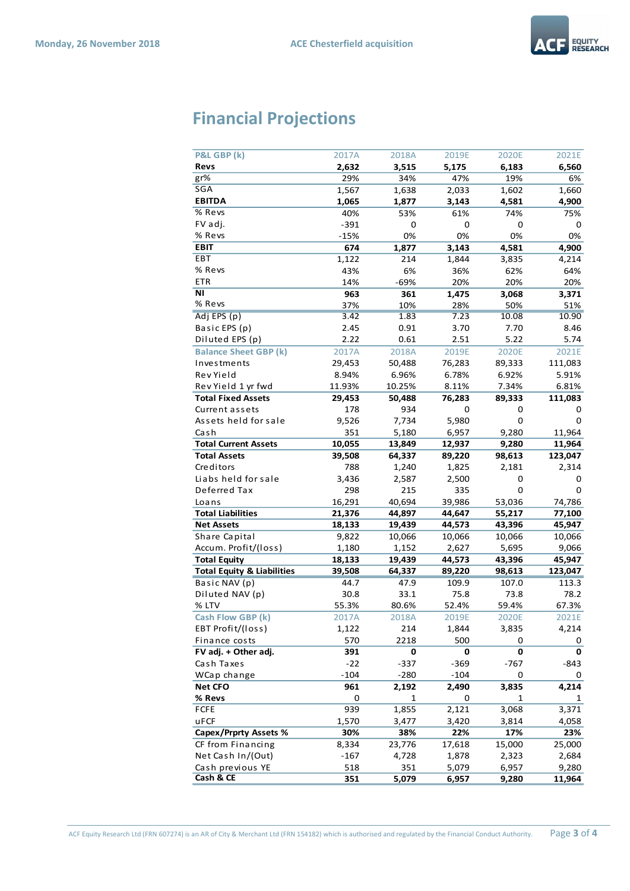

## **Financial Projections**

| P&L GBP (k)                           | 2017A        | 2018A       | 2019E        | 2020E  | 2021E   |
|---------------------------------------|--------------|-------------|--------------|--------|---------|
| Revs                                  | 2,632        | 3,515       | 5,175        | 6,183  | 6,560   |
| gr%                                   | 29%          | 34%         | 47%          | 19%    | 6%      |
| SGA                                   | 1,567        | 1,638       | 2,033        | 1,602  | 1,660   |
| <b>EBITDA</b>                         | 1,065        | 1,877       | 3,143        | 4,581  | 4,900   |
| % Revs                                | 40%          | 53%         | 61%          | 74%    | 75%     |
| FV adj.                               | $-391$       | 0           | 0            | 0      | 0       |
| % Revs                                | $-15%$       | 0%          | 0%           | 0%     | 0%      |
| <b>EBIT</b>                           | 674          | 1,877       | 3,143        | 4,581  | 4,900   |
| EBT                                   | 1,122        | 214         | 1,844        | 3,835  | 4,214   |
| % Revs                                | 43%          | 6%          | 36%          | 62%    | 64%     |
| <b>ETR</b>                            | 14%          | $-69%$      | 20%          | 20%    | 20%     |
| ΝI                                    | 963          | 361         | 1,475        | 3,068  | 3,371   |
| % Revs                                | 37%          | 10%         | 28%          | 50%    | 51%     |
| Adj EPS (p)                           | 3.42         | 1.83        | 7.23         | 10.08  | 10.90   |
| Basic EPS (p)                         | 2.45         | 0.91        | 3.70         | 7.70   | 8.46    |
| Diluted EPS (p)                       | 2.22         | 0.61        | 2.51         | 5.22   | 5.74    |
| <b>Balance Sheet GBP (k)</b>          | 2017A        | 2018A       | 2019E        | 2020E  | 2021E   |
| Investments                           | 29,453       | 50,488      | 76,283       | 89,333 | 111,083 |
| Rev Yield                             | 8.94%        | 6.96%       | 6.78%        | 6.92%  | 5.91%   |
| Rev Yield 1 yr fwd                    | 11.93%       | 10.25%      | 8.11%        | 7.34%  | 6.81%   |
| <b>Total Fixed Assets</b>             | 29,453       | 50,488      | 76,283       | 89,333 | 111,083 |
| Current assets                        | 178          | 934         | 0            | 0      | 0       |
| Assets held for sale                  | 9,526        | 7,734       | 5,980        | 0      | 0       |
| Cash                                  | 351          | 5,180       | 6,957        | 9,280  | 11,964  |
| <b>Total Current Assets</b>           | 10,055       | 13,849      | 12,937       | 9,280  | 11,964  |
| <b>Total Assets</b>                   | 39,508       | 64,337      | 89,220       | 98,613 | 123,047 |
| Creditors                             | 788          | 1,240       | 1,825        | 2,181  | 2,314   |
| Liabs held for sale                   |              | 2,587       |              |        |         |
| Deferred Tax                          | 3,436<br>298 | 215         | 2,500<br>335 | 0<br>0 | 0<br>0  |
|                                       |              |             |              |        |         |
| Loans                                 | 16,291       | 40,694      | 39,986       | 53,036 | 74,786  |
| <b>Total Liabilities</b>              | 21,376       | 44,897      | 44,647       | 55,217 | 77,100  |
| <b>Net Assets</b>                     | 18,133       | 19,439      | 44,573       | 43,396 | 45,947  |
| Share Capital                         | 9,822        | 10,066      | 10,066       | 10,066 | 10,066  |
| Accum. Profit/(loss)                  | 1,180        | 1,152       | 2,627        | 5,695  | 9,066   |
| <b>Total Equity</b>                   | 18,133       | 19,439      | 44,573       | 43,396 | 45,947  |
| <b>Total Equity &amp; Liabilities</b> | 39,508       | 64,337      | 89,220       | 98,613 | 123,047 |
| Basic NAV (p)                         | 44.7         | 47.9        | 109.9        | 107.0  | 113.3   |
| Diluted NAV (p)                       | 30.8         | 33.1        | 75.8         | 73.8   | 78.2    |
| % LTV                                 | 55.3%        | 80.6%       | 52.4%        | 59.4%  | 67.3%   |
| Cash Flow GBP (k)                     | 2017A        | 2018A       | 2019E        | 2020E  | 2021E   |
| EBT Profit/(loss)                     | 1,122        | 214         | 1,844        | 3,835  | 4,214   |
| Finance costs                         | 570          | 2218        | 500          | 0      | 0       |
| FV adj. + Other adj.                  | 391          | 0           | 0            | 0      | 0       |
| Cash Taxes                            | $-22$        | -337        | $-369$       | $-767$ | -843    |
| WCap change                           | $-104$       | $-280$      | $-104$       | 0      | 0       |
| Net CFO                               | 961          | 2,192       | 2,490        | 3,835  | 4,214   |
| % Revs                                | 0            | $\mathbf 1$ | 0            | 1      | 1       |
| <b>FCFE</b>                           | 939          | 1,855       | 2,121        | 3,068  | 3,371   |
| uFCF                                  | 1,570        | 3,477       | 3,420        | 3,814  | 4,058   |
| <b>Capex/Prprty Assets %</b>          | 30%          | 38%         | 22%          | 17%    | 23%     |
| CF from Financing                     | 8,334        | 23,776      | 17,618       | 15,000 | 25,000  |
| Net Cash In/(Out)                     | $-167$       | 4,728       | 1,878        | 2,323  | 2,684   |
| Cash previous YE<br>Cash & CE         | 518          | 351         | 5,079        | 6,957  | 9,280   |
|                                       | 351          | 5,079       | 6,957        | 9,280  | 11,964  |